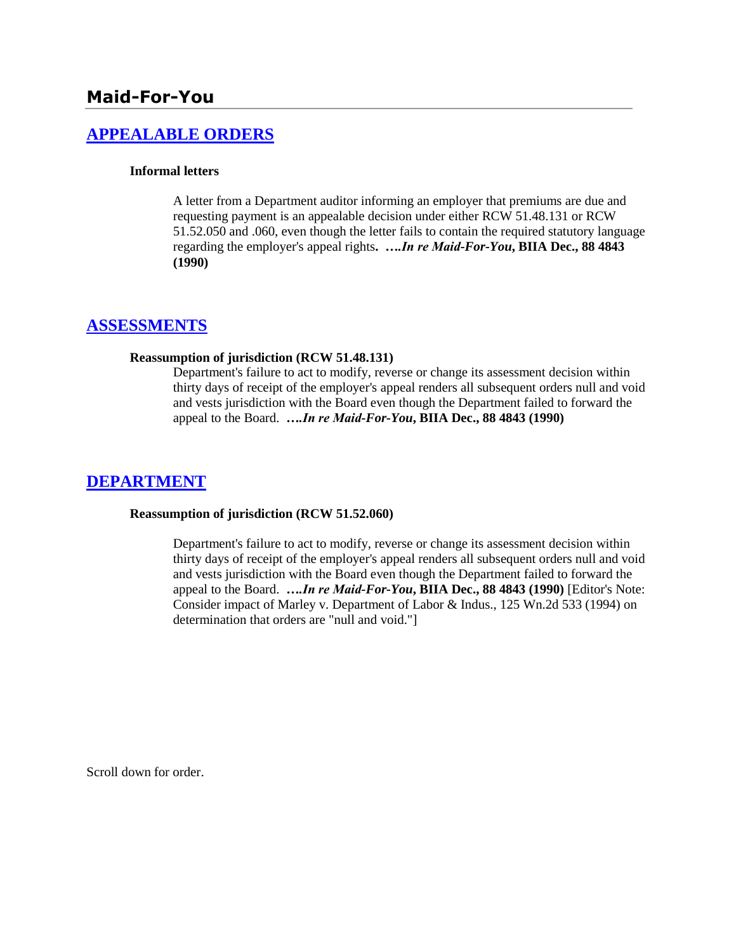# **[APPEALABLE ORDERS](http://www.biia.wa.gov/SDSubjectIndex.html#APPEALABLE_ORDERS)**

### **Informal letters**

A letter from a Department auditor informing an employer that premiums are due and requesting payment is an appealable decision under either RCW 51.48.131 or RCW 51.52.050 and .060, even though the letter fails to contain the required statutory language regarding the employer's appeal rights**.** *….In re Maid-For-You***, BIIA Dec., 88 4843 (1990)**

## **[ASSESSMENTS](http://www.biia.wa.gov/SDSubjectIndex.html#ASSESSMENTS)**

### **Reassumption of jurisdiction (RCW 51.48.131)**

Department's failure to act to modify, reverse or change its assessment decision within thirty days of receipt of the employer's appeal renders all subsequent orders null and void and vests jurisdiction with the Board even though the Department failed to forward the appeal to the Board. *….In re Maid-For-You***, BIIA Dec., 88 4843 (1990)**

# **[DEPARTMENT](http://www.biia.wa.gov/SDSubjectIndex.html#DEPARTMENT)**

#### **Reassumption of jurisdiction (RCW 51.52.060)**

Department's failure to act to modify, reverse or change its assessment decision within thirty days of receipt of the employer's appeal renders all subsequent orders null and void and vests jurisdiction with the Board even though the Department failed to forward the appeal to the Board.*….In re Maid-For-You***, BIIA Dec., 88 4843 (1990)** [Editor's Note: Consider impact of Marley v. Department of Labor & Indus., 125 Wn.2d 533 (1994) on determination that orders are "null and void."]

Scroll down for order.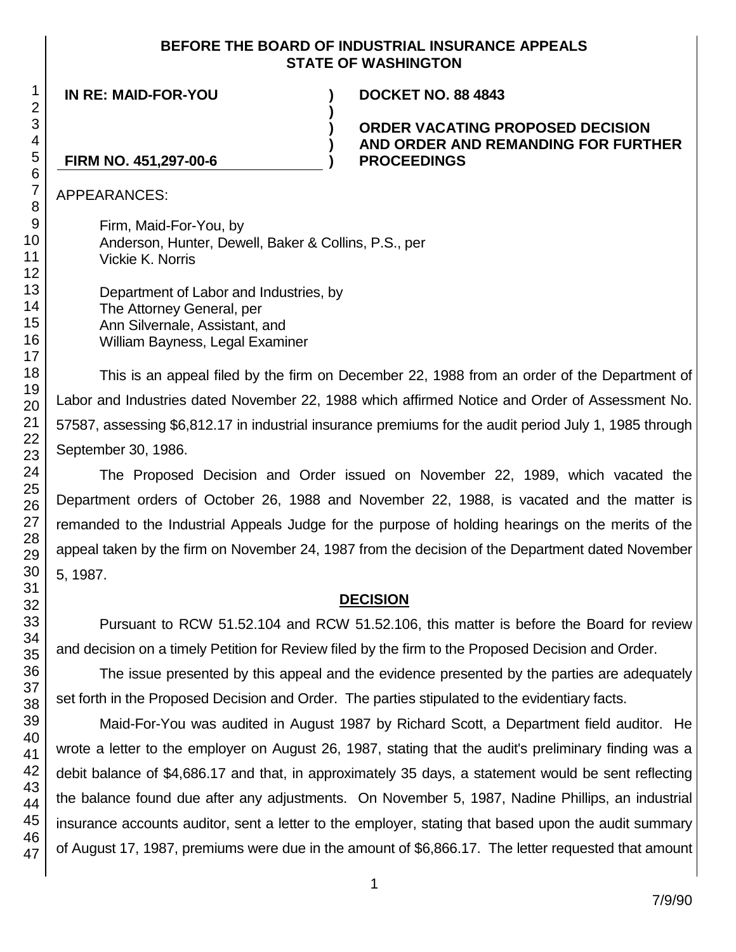## **BEFORE THE BOARD OF INDUSTRIAL INSURANCE APPEALS STATE OF WASHINGTON**

**)**

**) ) )**

**IN RE: MAID-FOR-YOU ) DOCKET NO. 88 4843**

## **ORDER VACATING PROPOSED DECISION AND ORDER AND REMANDING FOR FURTHER PROCEEDINGS**

## **FIRM NO. 451,297-00-6**

APPEARANCES:

Firm, Maid-For-You, by Anderson, Hunter, Dewell, Baker & Collins, P.S., per Vickie K. Norris

Department of Labor and Industries, by The Attorney General, per Ann Silvernale, Assistant, and William Bayness, Legal Examiner

This is an appeal filed by the firm on December 22, 1988 from an order of the Department of Labor and Industries dated November 22, 1988 which affirmed Notice and Order of Assessment No. 57587, assessing \$6,812.17 in industrial insurance premiums for the audit period July 1, 1985 through September 30, 1986.

The Proposed Decision and Order issued on November 22, 1989, which vacated the Department orders of October 26, 1988 and November 22, 1988, is vacated and the matter is remanded to the Industrial Appeals Judge for the purpose of holding hearings on the merits of the appeal taken by the firm on November 24, 1987 from the decision of the Department dated November 5, 1987.

# **DECISION**

Pursuant to RCW 51.52.104 and RCW 51.52.106, this matter is before the Board for review and decision on a timely Petition for Review filed by the firm to the Proposed Decision and Order.

The issue presented by this appeal and the evidence presented by the parties are adequately set forth in the Proposed Decision and Order. The parties stipulated to the evidentiary facts.

Maid-For-You was audited in August 1987 by Richard Scott, a Department field auditor. He wrote a letter to the employer on August 26, 1987, stating that the audit's preliminary finding was a debit balance of \$4,686.17 and that, in approximately 35 days, a statement would be sent reflecting the balance found due after any adjustments. On November 5, 1987, Nadine Phillips, an industrial insurance accounts auditor, sent a letter to the employer, stating that based upon the audit summary of August 17, 1987, premiums were due in the amount of \$6,866.17. The letter requested that amount

1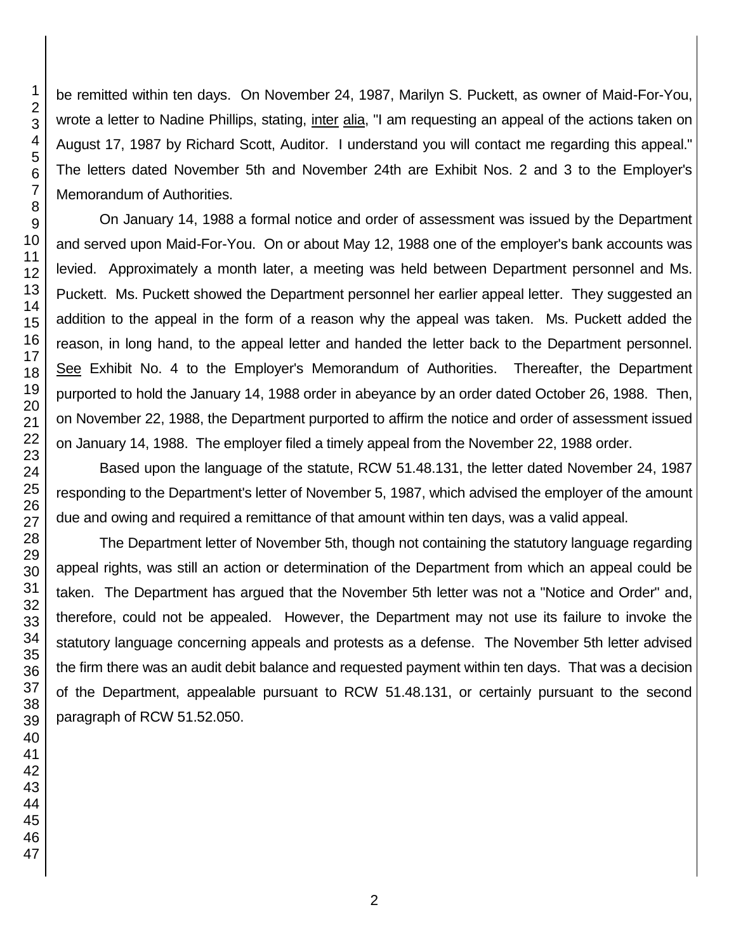be remitted within ten days. On November 24, 1987, Marilyn S. Puckett, as owner of Maid-For-You, wrote a letter to Nadine Phillips, stating, inter alia, "I am requesting an appeal of the actions taken on August 17, 1987 by Richard Scott, Auditor. I understand you will contact me regarding this appeal." The letters dated November 5th and November 24th are Exhibit Nos. 2 and 3 to the Employer's Memorandum of Authorities.

On January 14, 1988 a formal notice and order of assessment was issued by the Department and served upon Maid-For-You. On or about May 12, 1988 one of the employer's bank accounts was levied. Approximately a month later, a meeting was held between Department personnel and Ms. Puckett. Ms. Puckett showed the Department personnel her earlier appeal letter. They suggested an addition to the appeal in the form of a reason why the appeal was taken. Ms. Puckett added the reason, in long hand, to the appeal letter and handed the letter back to the Department personnel. See Exhibit No. 4 to the Employer's Memorandum of Authorities. Thereafter, the Department purported to hold the January 14, 1988 order in abeyance by an order dated October 26, 1988. Then, on November 22, 1988, the Department purported to affirm the notice and order of assessment issued on January 14, 1988. The employer filed a timely appeal from the November 22, 1988 order.

Based upon the language of the statute, RCW 51.48.131, the letter dated November 24, 1987 responding to the Department's letter of November 5, 1987, which advised the employer of the amount due and owing and required a remittance of that amount within ten days, was a valid appeal.

The Department letter of November 5th, though not containing the statutory language regarding appeal rights, was still an action or determination of the Department from which an appeal could be taken. The Department has argued that the November 5th letter was not a "Notice and Order" and, therefore, could not be appealed. However, the Department may not use its failure to invoke the statutory language concerning appeals and protests as a defense. The November 5th letter advised the firm there was an audit debit balance and requested payment within ten days. That was a decision of the Department, appealable pursuant to RCW 51.48.131, or certainly pursuant to the second paragraph of RCW 51.52.050.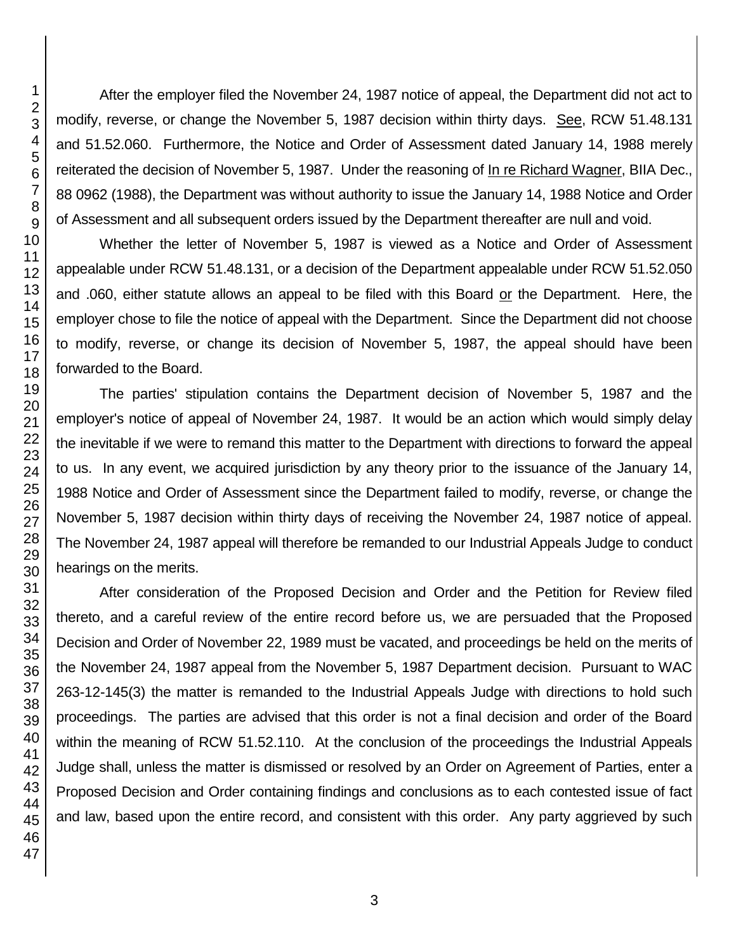After the employer filed the November 24, 1987 notice of appeal, the Department did not act to modify, reverse, or change the November 5, 1987 decision within thirty days. See, RCW 51.48.131 and 51.52.060. Furthermore, the Notice and Order of Assessment dated January 14, 1988 merely reiterated the decision of November 5, 1987. Under the reasoning of In re Richard Wagner, BIIA Dec., 88 0962 (1988), the Department was without authority to issue the January 14, 1988 Notice and Order of Assessment and all subsequent orders issued by the Department thereafter are null and void.

Whether the letter of November 5, 1987 is viewed as a Notice and Order of Assessment appealable under RCW 51.48.131, or a decision of the Department appealable under RCW 51.52.050 and .060, either statute allows an appeal to be filed with this Board or the Department. Here, the employer chose to file the notice of appeal with the Department. Since the Department did not choose to modify, reverse, or change its decision of November 5, 1987, the appeal should have been forwarded to the Board.

The parties' stipulation contains the Department decision of November 5, 1987 and the employer's notice of appeal of November 24, 1987. It would be an action which would simply delay the inevitable if we were to remand this matter to the Department with directions to forward the appeal to us. In any event, we acquired jurisdiction by any theory prior to the issuance of the January 14, 1988 Notice and Order of Assessment since the Department failed to modify, reverse, or change the November 5, 1987 decision within thirty days of receiving the November 24, 1987 notice of appeal. The November 24, 1987 appeal will therefore be remanded to our Industrial Appeals Judge to conduct hearings on the merits.

After consideration of the Proposed Decision and Order and the Petition for Review filed thereto, and a careful review of the entire record before us, we are persuaded that the Proposed Decision and Order of November 22, 1989 must be vacated, and proceedings be held on the merits of the November 24, 1987 appeal from the November 5, 1987 Department decision. Pursuant to WAC 263-12-145(3) the matter is remanded to the Industrial Appeals Judge with directions to hold such proceedings. The parties are advised that this order is not a final decision and order of the Board within the meaning of RCW 51.52.110. At the conclusion of the proceedings the Industrial Appeals Judge shall, unless the matter is dismissed or resolved by an Order on Agreement of Parties, enter a Proposed Decision and Order containing findings and conclusions as to each contested issue of fact and law, based upon the entire record, and consistent with this order. Any party aggrieved by such